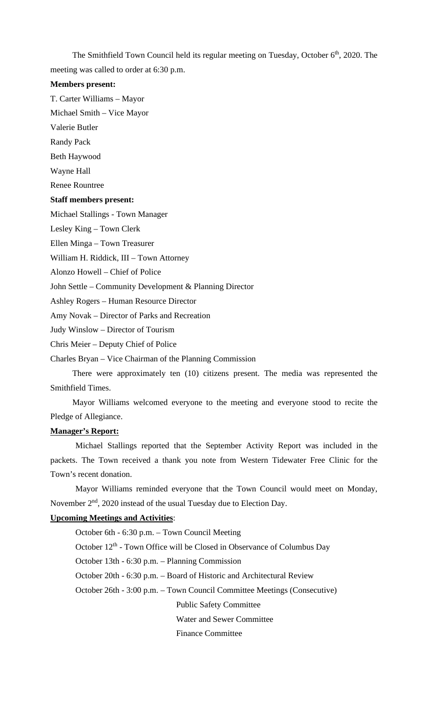The Smithfield Town Council held its regular meeting on Tuesday, October 6<sup>th</sup>, 2020. The meeting was called to order at 6:30 p.m.

## **Members present:**

T. Carter Williams – Mayor

Michael Smith – Vice Mayor

Valerie Butler

Randy Pack

Beth Haywood

Wayne Hall

Renee Rountree

## **Staff members present:**

Michael Stallings - Town Manager

Lesley King – Town Clerk

Ellen Minga – Town Treasurer

William H. Riddick, III – Town Attorney

Alonzo Howell – Chief of Police

John Settle – Community Development & Planning Director

Ashley Rogers – Human Resource Director

Amy Novak – Director of Parks and Recreation

Judy Winslow – Director of Tourism

Chris Meier – Deputy Chief of Police

Charles Bryan – Vice Chairman of the Planning Commission

There were approximately ten (10) citizens present. The media was represented the Smithfield Times.

Mayor Williams welcomed everyone to the meeting and everyone stood to recite the Pledge of Allegiance.

#### **Manager's Report:**

Michael Stallings reported that the September Activity Report was included in the packets. The Town received a thank you note from Western Tidewater Free Clinic for the Town's recent donation.

Mayor Williams reminded everyone that the Town Council would meet on Monday, November  $2<sup>nd</sup>$ , 2020 instead of the usual Tuesday due to Election Day.

## **Upcoming Meetings and Activities**:

October 6th - 6:30 p.m. – Town Council Meeting October  $12<sup>th</sup>$  - Town Office will be Closed in Observance of Columbus Day October 13th - 6:30 p.m. – Planning Commission October 20th - 6:30 p.m. – Board of Historic and Architectural Review October 26th - 3:00 p.m. – Town Council Committee Meetings (Consecutive) Public Safety Committee Water and Sewer Committee

Finance Committee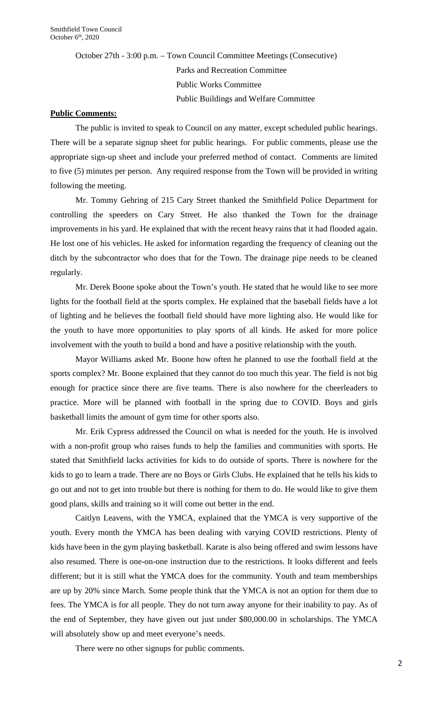October 27th - 3:00 p.m. – Town Council Committee Meetings (Consecutive) Parks and Recreation Committee Public Works Committee Public Buildings and Welfare Committee

## **Public Comments:**

The public is invited to speak to Council on any matter, except scheduled public hearings. There will be a separate signup sheet for public hearings. For public comments, please use the appropriate sign-up sheet and include your preferred method of contact. Comments are limited to five (5) minutes per person. Any required response from the Town will be provided in writing following the meeting.

Mr. Tommy Gehring of 215 Cary Street thanked the Smithfield Police Department for controlling the speeders on Cary Street. He also thanked the Town for the drainage improvements in his yard. He explained that with the recent heavy rains that it had flooded again. He lost one of his vehicles. He asked for information regarding the frequency of cleaning out the ditch by the subcontractor who does that for the Town. The drainage pipe needs to be cleaned regularly.

Mr. Derek Boone spoke about the Town's youth. He stated that he would like to see more lights for the football field at the sports complex. He explained that the baseball fields have a lot of lighting and he believes the football field should have more lighting also. He would like for the youth to have more opportunities to play sports of all kinds. He asked for more police involvement with the youth to build a bond and have a positive relationship with the youth.

Mayor Williams asked Mr. Boone how often he planned to use the football field at the sports complex? Mr. Boone explained that they cannot do too much this year. The field is not big enough for practice since there are five teams. There is also nowhere for the cheerleaders to practice. More will be planned with football in the spring due to COVID. Boys and girls basketball limits the amount of gym time for other sports also.

Mr. Erik Cypress addressed the Council on what is needed for the youth. He is involved with a non-profit group who raises funds to help the families and communities with sports. He stated that Smithfield lacks activities for kids to do outside of sports. There is nowhere for the kids to go to learn a trade. There are no Boys or Girls Clubs. He explained that he tells his kids to go out and not to get into trouble but there is nothing for them to do. He would like to give them good plans, skills and training so it will come out better in the end.

Caitlyn Leavens, with the YMCA, explained that the YMCA is very supportive of the youth. Every month the YMCA has been dealing with varying COVID restrictions. Plenty of kids have been in the gym playing basketball. Karate is also being offered and swim lessons have also resumed. There is one-on-one instruction due to the restrictions. It looks different and feels different; but it is still what the YMCA does for the community. Youth and team memberships are up by 20% since March. Some people think that the YMCA is not an option for them due to fees. The YMCA is for all people. They do not turn away anyone for their inability to pay. As of the end of September, they have given out just under \$80,000.00 in scholarships. The YMCA will absolutely show up and meet everyone's needs.

There were no other signups for public comments.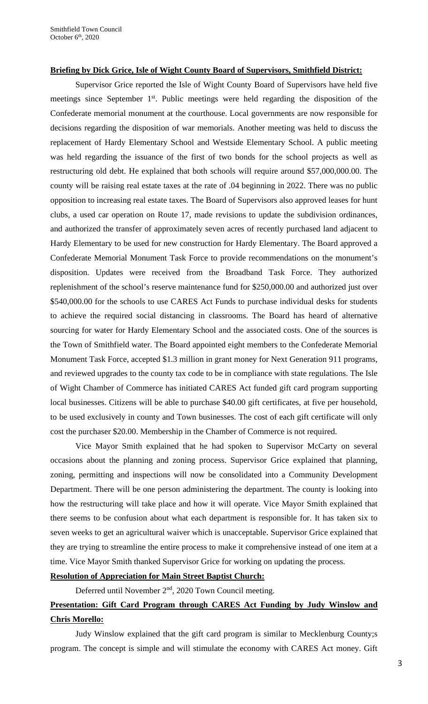## **Briefing by Dick Grice, Isle of Wight County Board of Supervisors, Smithfield District:**

Supervisor Grice reported the Isle of Wight County Board of Supervisors have held five meetings since September 1<sup>st</sup>. Public meetings were held regarding the disposition of the Confederate memorial monument at the courthouse. Local governments are now responsible for decisions regarding the disposition of war memorials. Another meeting was held to discuss the replacement of Hardy Elementary School and Westside Elementary School. A public meeting was held regarding the issuance of the first of two bonds for the school projects as well as restructuring old debt. He explained that both schools will require around \$57,000,000.00. The county will be raising real estate taxes at the rate of .04 beginning in 2022. There was no public opposition to increasing real estate taxes. The Board of Supervisors also approved leases for hunt clubs, a used car operation on Route 17, made revisions to update the subdivision ordinances, and authorized the transfer of approximately seven acres of recently purchased land adjacent to Hardy Elementary to be used for new construction for Hardy Elementary. The Board approved a Confederate Memorial Monument Task Force to provide recommendations on the monument's disposition. Updates were received from the Broadband Task Force. They authorized replenishment of the school's reserve maintenance fund for \$250,000.00 and authorized just over \$540,000.00 for the schools to use CARES Act Funds to purchase individual desks for students to achieve the required social distancing in classrooms. The Board has heard of alternative sourcing for water for Hardy Elementary School and the associated costs. One of the sources is the Town of Smithfield water. The Board appointed eight members to the Confederate Memorial Monument Task Force, accepted \$1.3 million in grant money for Next Generation 911 programs, and reviewed upgrades to the county tax code to be in compliance with state regulations. The Isle of Wight Chamber of Commerce has initiated CARES Act funded gift card program supporting local businesses. Citizens will be able to purchase \$40.00 gift certificates, at five per household, to be used exclusively in county and Town businesses. The cost of each gift certificate will only cost the purchaser \$20.00. Membership in the Chamber of Commerce is not required.

Vice Mayor Smith explained that he had spoken to Supervisor McCarty on several occasions about the planning and zoning process. Supervisor Grice explained that planning, zoning, permitting and inspections will now be consolidated into a Community Development Department. There will be one person administering the department. The county is looking into how the restructuring will take place and how it will operate. Vice Mayor Smith explained that there seems to be confusion about what each department is responsible for. It has taken six to seven weeks to get an agricultural waiver which is unacceptable. Supervisor Grice explained that they are trying to streamline the entire process to make it comprehensive instead of one item at a time. Vice Mayor Smith thanked Supervisor Grice for working on updating the process.

## **Resolution of Appreciation for Main Street Baptist Church:**

Deferred until November 2<sup>nd</sup>, 2020 Town Council meeting.

## **Presentation: Gift Card Program through CARES Act Funding by Judy Winslow and Chris Morello:**

Judy Winslow explained that the gift card program is similar to Mecklenburg County;s program. The concept is simple and will stimulate the economy with CARES Act money. Gift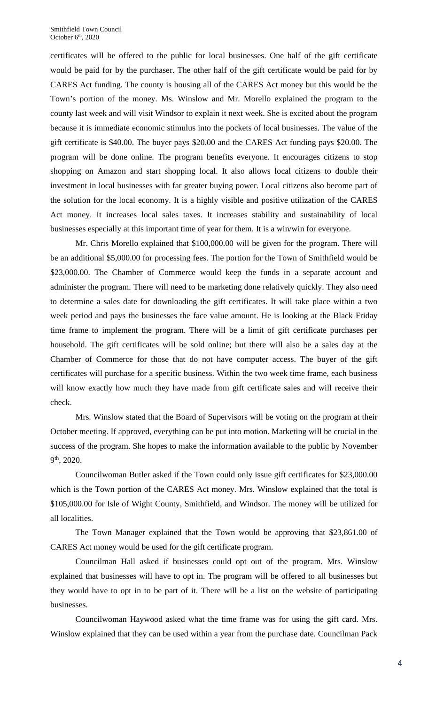certificates will be offered to the public for local businesses. One half of the gift certificate would be paid for by the purchaser. The other half of the gift certificate would be paid for by CARES Act funding. The county is housing all of the CARES Act money but this would be the Town's portion of the money. Ms. Winslow and Mr. Morello explained the program to the county last week and will visit Windsor to explain it next week. She is excited about the program because it is immediate economic stimulus into the pockets of local businesses. The value of the gift certificate is \$40.00. The buyer pays \$20.00 and the CARES Act funding pays \$20.00. The program will be done online. The program benefits everyone. It encourages citizens to stop shopping on Amazon and start shopping local. It also allows local citizens to double their investment in local businesses with far greater buying power. Local citizens also become part of the solution for the local economy. It is a highly visible and positive utilization of the CARES Act money. It increases local sales taxes. It increases stability and sustainability of local businesses especially at this important time of year for them. It is a win/win for everyone.

Mr. Chris Morello explained that \$100,000.00 will be given for the program. There will be an additional \$5,000.00 for processing fees. The portion for the Town of Smithfield would be \$23,000.00. The Chamber of Commerce would keep the funds in a separate account and administer the program. There will need to be marketing done relatively quickly. They also need to determine a sales date for downloading the gift certificates. It will take place within a two week period and pays the businesses the face value amount. He is looking at the Black Friday time frame to implement the program. There will be a limit of gift certificate purchases per household. The gift certificates will be sold online; but there will also be a sales day at the Chamber of Commerce for those that do not have computer access. The buyer of the gift certificates will purchase for a specific business. Within the two week time frame, each business will know exactly how much they have made from gift certificate sales and will receive their check.

Mrs. Winslow stated that the Board of Supervisors will be voting on the program at their October meeting. If approved, everything can be put into motion. Marketing will be crucial in the success of the program. She hopes to make the information available to the public by November 9th, 2020.

Councilwoman Butler asked if the Town could only issue gift certificates for \$23,000.00 which is the Town portion of the CARES Act money. Mrs. Winslow explained that the total is \$105,000.00 for Isle of Wight County, Smithfield, and Windsor. The money will be utilized for all localities.

The Town Manager explained that the Town would be approving that \$23,861.00 of CARES Act money would be used for the gift certificate program.

Councilman Hall asked if businesses could opt out of the program. Mrs. Winslow explained that businesses will have to opt in. The program will be offered to all businesses but they would have to opt in to be part of it. There will be a list on the website of participating businesses.

Councilwoman Haywood asked what the time frame was for using the gift card. Mrs. Winslow explained that they can be used within a year from the purchase date. Councilman Pack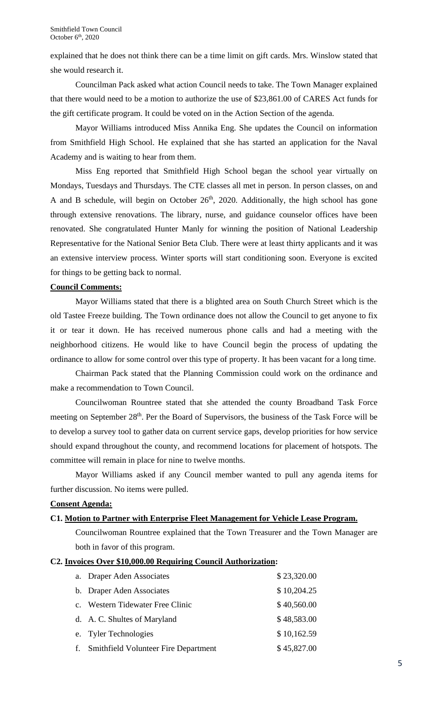explained that he does not think there can be a time limit on gift cards. Mrs. Winslow stated that she would research it.

Councilman Pack asked what action Council needs to take. The Town Manager explained that there would need to be a motion to authorize the use of \$23,861.00 of CARES Act funds for the gift certificate program. It could be voted on in the Action Section of the agenda.

Mayor Williams introduced Miss Annika Eng. She updates the Council on information from Smithfield High School. He explained that she has started an application for the Naval Academy and is waiting to hear from them.

Miss Eng reported that Smithfield High School began the school year virtually on Mondays, Tuesdays and Thursdays. The CTE classes all met in person. In person classes, on and A and B schedule, will begin on October  $26<sup>th</sup>$ , 2020. Additionally, the high school has gone through extensive renovations. The library, nurse, and guidance counselor offices have been renovated. She congratulated Hunter Manly for winning the position of National Leadership Representative for the National Senior Beta Club. There were at least thirty applicants and it was an extensive interview process. Winter sports will start conditioning soon. Everyone is excited for things to be getting back to normal.

## **Council Comments:**

Mayor Williams stated that there is a blighted area on South Church Street which is the old Tastee Freeze building. The Town ordinance does not allow the Council to get anyone to fix it or tear it down. He has received numerous phone calls and had a meeting with the neighborhood citizens. He would like to have Council begin the process of updating the ordinance to allow for some control over this type of property. It has been vacant for a long time.

Chairman Pack stated that the Planning Commission could work on the ordinance and make a recommendation to Town Council.

Councilwoman Rountree stated that she attended the county Broadband Task Force meeting on September 28<sup>th</sup>. Per the Board of Supervisors, the business of the Task Force will be to develop a survey tool to gather data on current service gaps, develop priorities for how service should expand throughout the county, and recommend locations for placement of hotspots. The committee will remain in place for nine to twelve months.

Mayor Williams asked if any Council member wanted to pull any agenda items for further discussion. No items were pulled.

## **Consent Agenda:**

## **C1. Motion to Partner with Enterprise Fleet Management for Vehicle Lease Program.**

Councilwoman Rountree explained that the Town Treasurer and the Town Manager are both in favor of this program.

## **C2. Invoices Over \$10,000.00 Requiring Council Authorization:**

| a. Draper Aden Associates               | \$23,320.00 |
|-----------------------------------------|-------------|
| b. Draper Aden Associates               | \$10,204.25 |
| c. Western Tidewater Free Clinic        | \$40,560.00 |
| d. A. C. Shultes of Maryland            | \$48,583.00 |
| e. Tyler Technologies                   | \$10,162.59 |
| f. Smithfield Volunteer Fire Department | \$45,827.00 |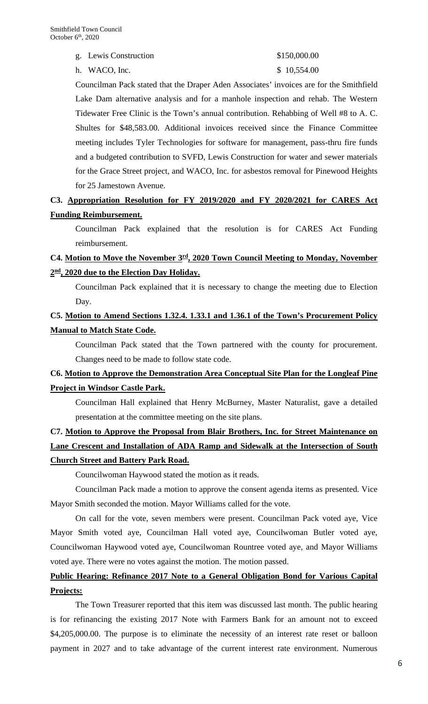g. Lewis Construction \$150,000.00

h. WACO, Inc. \$ 10,554.00

Councilman Pack stated that the Draper Aden Associates' invoices are for the Smithfield Lake Dam alternative analysis and for a manhole inspection and rehab. The Western Tidewater Free Clinic is the Town's annual contribution. Rehabbing of Well #8 to A. C. Shultes for \$48,583.00. Additional invoices received since the Finance Committee meeting includes Tyler Technologies for software for management, pass-thru fire funds and a budgeted contribution to SVFD, Lewis Construction for water and sewer materials for the Grace Street project, and WACO, Inc. for asbestos removal for Pinewood Heights for 25 Jamestown Avenue.

## **C3. Appropriation Resolution for FY 2019/2020 and FY 2020/2021 for CARES Act Funding Reimbursement.**

Councilman Pack explained that the resolution is for CARES Act Funding reimbursement.

## **C4. Motion to Move the November 3rd, 2020 Town Council Meeting to Monday, November 2nd, 2020 due to the Election Day Holiday.**

Councilman Pack explained that it is necessary to change the meeting due to Election Day.

## **C5. Motion to Amend Sections 1.32.4. 1.33.1 and 1.36.1 of the Town's Procurement Policy Manual to Match State Code.**

Councilman Pack stated that the Town partnered with the county for procurement. Changes need to be made to follow state code.

## **C6. Motion to Approve the Demonstration Area Conceptual Site Plan for the Longleaf Pine Project in Windsor Castle Park.**

Councilman Hall explained that Henry McBurney, Master Naturalist, gave a detailed presentation at the committee meeting on the site plans.

# **C7. Motion to Approve the Proposal from Blair Brothers, Inc. for Street Maintenance on Lane Crescent and Installation of ADA Ramp and Sidewalk at the Intersection of South Church Street and Battery Park Road.**

Councilwoman Haywood stated the motion as it reads.

Councilman Pack made a motion to approve the consent agenda items as presented. Vice Mayor Smith seconded the motion. Mayor Williams called for the vote.

On call for the vote, seven members were present. Councilman Pack voted aye, Vice Mayor Smith voted aye, Councilman Hall voted aye, Councilwoman Butler voted aye, Councilwoman Haywood voted aye, Councilwoman Rountree voted aye, and Mayor Williams voted aye. There were no votes against the motion. The motion passed.

# **Public Hearing: Refinance 2017 Note to a General Obligation Bond for Various Capital Projects:**

The Town Treasurer reported that this item was discussed last month. The public hearing is for refinancing the existing 2017 Note with Farmers Bank for an amount not to exceed \$4,205,000.00. The purpose is to eliminate the necessity of an interest rate reset or balloon payment in 2027 and to take advantage of the current interest rate environment. Numerous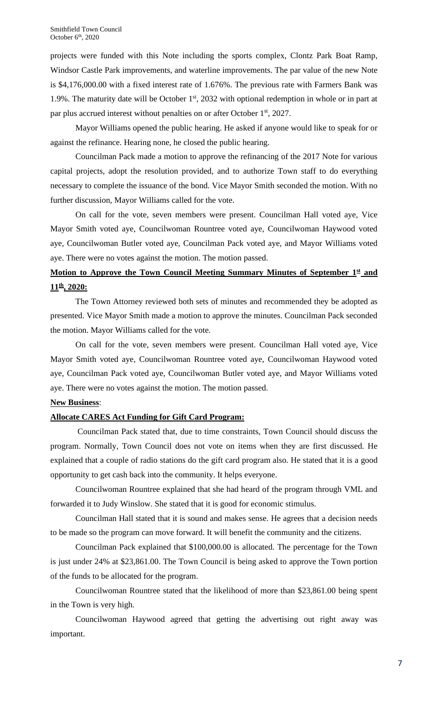projects were funded with this Note including the sports complex, Clontz Park Boat Ramp, Windsor Castle Park improvements, and waterline improvements. The par value of the new Note is \$4,176,000.00 with a fixed interest rate of 1.676%. The previous rate with Farmers Bank was 1.9%. The maturity date will be October  $1<sup>st</sup>$ , 2032 with optional redemption in whole or in part at par plus accrued interest without penalties on or after October 1<sup>st</sup>, 2027.

Mayor Williams opened the public hearing. He asked if anyone would like to speak for or against the refinance. Hearing none, he closed the public hearing.

Councilman Pack made a motion to approve the refinancing of the 2017 Note for various capital projects, adopt the resolution provided, and to authorize Town staff to do everything necessary to complete the issuance of the bond. Vice Mayor Smith seconded the motion. With no further discussion, Mayor Williams called for the vote.

On call for the vote, seven members were present. Councilman Hall voted aye, Vice Mayor Smith voted aye, Councilwoman Rountree voted aye, Councilwoman Haywood voted aye, Councilwoman Butler voted aye, Councilman Pack voted aye, and Mayor Williams voted aye. There were no votes against the motion. The motion passed.

## **Motion to Approve the Town Council Meeting Summary Minutes of September 1st and 11th, 2020:**

The Town Attorney reviewed both sets of minutes and recommended they be adopted as presented. Vice Mayor Smith made a motion to approve the minutes. Councilman Pack seconded the motion. Mayor Williams called for the vote.

On call for the vote, seven members were present. Councilman Hall voted aye, Vice Mayor Smith voted aye, Councilwoman Rountree voted aye, Councilwoman Haywood voted aye, Councilman Pack voted aye, Councilwoman Butler voted aye, and Mayor Williams voted aye. There were no votes against the motion. The motion passed.

## **New Business**:

## **Allocate CARES Act Funding for Gift Card Program:**

Councilman Pack stated that, due to time constraints, Town Council should discuss the program. Normally, Town Council does not vote on items when they are first discussed. He explained that a couple of radio stations do the gift card program also. He stated that it is a good opportunity to get cash back into the community. It helps everyone.

Councilwoman Rountree explained that she had heard of the program through VML and forwarded it to Judy Winslow. She stated that it is good for economic stimulus.

Councilman Hall stated that it is sound and makes sense. He agrees that a decision needs to be made so the program can move forward. It will benefit the community and the citizens.

Councilman Pack explained that \$100,000.00 is allocated. The percentage for the Town is just under 24% at \$23,861.00. The Town Council is being asked to approve the Town portion of the funds to be allocated for the program.

Councilwoman Rountree stated that the likelihood of more than \$23,861.00 being spent in the Town is very high.

Councilwoman Haywood agreed that getting the advertising out right away was important.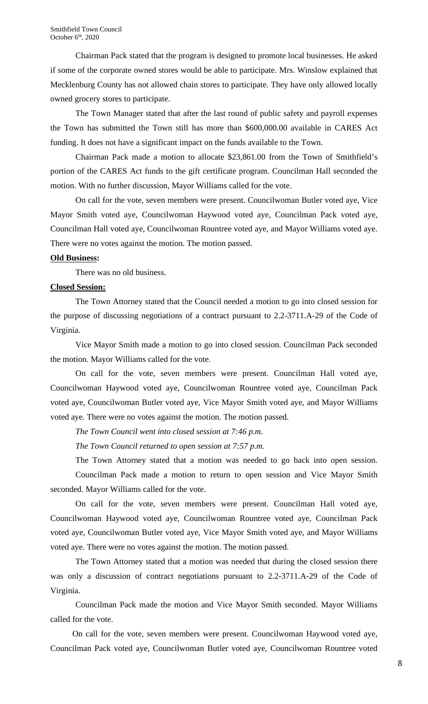Chairman Pack stated that the program is designed to promote local businesses. He asked if some of the corporate owned stores would be able to participate. Mrs. Winslow explained that Mecklenburg County has not allowed chain stores to participate. They have only allowed locally owned grocery stores to participate.

The Town Manager stated that after the last round of public safety and payroll expenses the Town has submitted the Town still has more than \$600,000.00 available in CARES Act funding. It does not have a significant impact on the funds available to the Town.

Chairman Pack made a motion to allocate \$23,861.00 from the Town of Smithfield's portion of the CARES Act funds to the gift certificate program. Councilman Hall seconded the motion. With no further discussion, Mayor Williams called for the vote.

On call for the vote, seven members were present. Councilwoman Butler voted aye, Vice Mayor Smith voted aye, Councilwoman Haywood voted aye, Councilman Pack voted aye, Councilman Hall voted aye, Councilwoman Rountree voted aye, and Mayor Williams voted aye. There were no votes against the motion. The motion passed.

#### **Old Business:**

There was no old business.

#### **Closed Session:**

The Town Attorney stated that the Council needed a motion to go into closed session for the purpose of discussing negotiations of a contract pursuant to 2.2-3711.A-29 of the Code of Virginia.

Vice Mayor Smith made a motion to go into closed session. Councilman Pack seconded the motion. Mayor Williams called for the vote.

On call for the vote, seven members were present. Councilman Hall voted aye, Councilwoman Haywood voted aye, Councilwoman Rountree voted aye, Councilman Pack voted aye, Councilwoman Butler voted aye, Vice Mayor Smith voted aye, and Mayor Williams voted aye. There were no votes against the motion. The motion passed.

*The Town Council went into closed session at 7:46 p.m.*

*The Town Council returned to open session at 7:57 p.m.*

The Town Attorney stated that a motion was needed to go back into open session. Councilman Pack made a motion to return to open session and Vice Mayor Smith seconded. Mayor Williams called for the vote.

On call for the vote, seven members were present. Councilman Hall voted aye, Councilwoman Haywood voted aye, Councilwoman Rountree voted aye, Councilman Pack voted aye, Councilwoman Butler voted aye, Vice Mayor Smith voted aye, and Mayor Williams voted aye. There were no votes against the motion. The motion passed.

The Town Attorney stated that a motion was needed that during the closed session there was only a discussion of contract negotiations pursuant to 2.2-3711.A-29 of the Code of Virginia.

Councilman Pack made the motion and Vice Mayor Smith seconded. Mayor Williams called for the vote.

On call for the vote, seven members were present. Councilwoman Haywood voted aye, Councilman Pack voted aye, Councilwoman Butler voted aye, Councilwoman Rountree voted